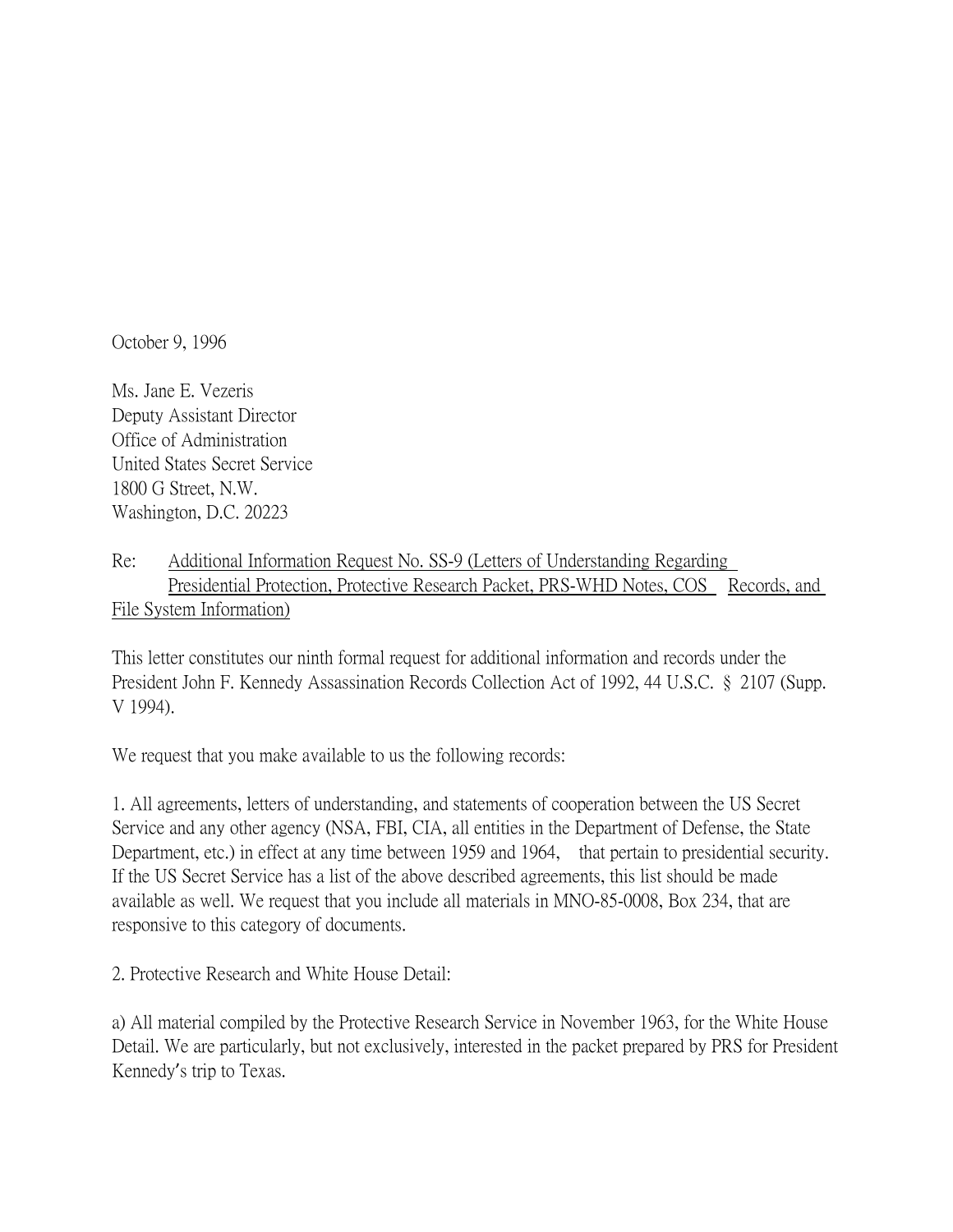October 9, 1996

Ms. Jane E. Vezeris Deputy Assistant Director Office of Administration United States Secret Service 1800 G Street, N.W. Washington, D.C. 20223

Re: Additional Information Request No. SS-9 (Letters of Understanding Regarding Presidential Protection, Protective Research Packet, PRS-WHD Notes, COS Records, and File System Information)

This letter constitutes our ninth formal request for additional information and records under the President John F. Kennedy Assassination Records Collection Act of 1992, 44 U.S.C. § 2107 (Supp. V 1994).

We request that you make available to us the following records:

1. All agreements, letters of understanding, and statements of cooperation between the US Secret Service and any other agency (NSA, FBI, CIA, all entities in the Department of Defense, the State Department, etc.) in effect at any time between 1959 and 1964, that pertain to presidential security. If the US Secret Service has a list of the above described agreements, this list should be made available as well. We request that you include all materials in MNO-85-0008, Box 234, that are responsive to this category of documents.

2. Protective Research and White House Detail:

a) All material compiled by the Protective Research Service in November 1963, for the White House Detail. We are particularly, but not exclusively, interested in the packet prepared by PRS for President Kennedy's trip to Texas.